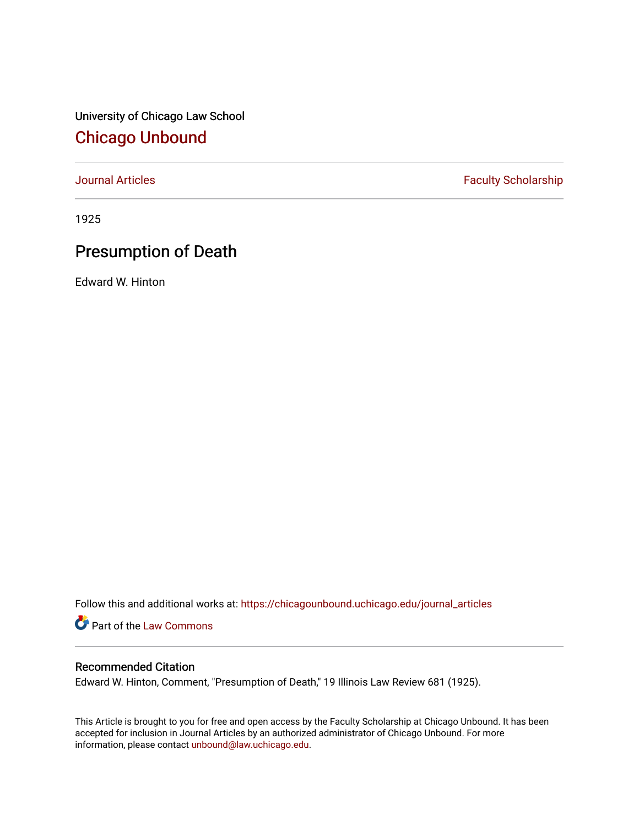University of Chicago Law School [Chicago Unbound](https://chicagounbound.uchicago.edu/)

[Journal Articles](https://chicagounbound.uchicago.edu/journal_articles) **Faculty Scholarship Faculty Scholarship** 

1925

## Presumption of Death

Edward W. Hinton

Follow this and additional works at: [https://chicagounbound.uchicago.edu/journal\\_articles](https://chicagounbound.uchicago.edu/journal_articles?utm_source=chicagounbound.uchicago.edu%2Fjournal_articles%2F9307&utm_medium=PDF&utm_campaign=PDFCoverPages) 

Part of the [Law Commons](http://network.bepress.com/hgg/discipline/578?utm_source=chicagounbound.uchicago.edu%2Fjournal_articles%2F9307&utm_medium=PDF&utm_campaign=PDFCoverPages)

## Recommended Citation

Edward W. Hinton, Comment, "Presumption of Death," 19 Illinois Law Review 681 (1925).

This Article is brought to you for free and open access by the Faculty Scholarship at Chicago Unbound. It has been accepted for inclusion in Journal Articles by an authorized administrator of Chicago Unbound. For more information, please contact [unbound@law.uchicago.edu](mailto:unbound@law.uchicago.edu).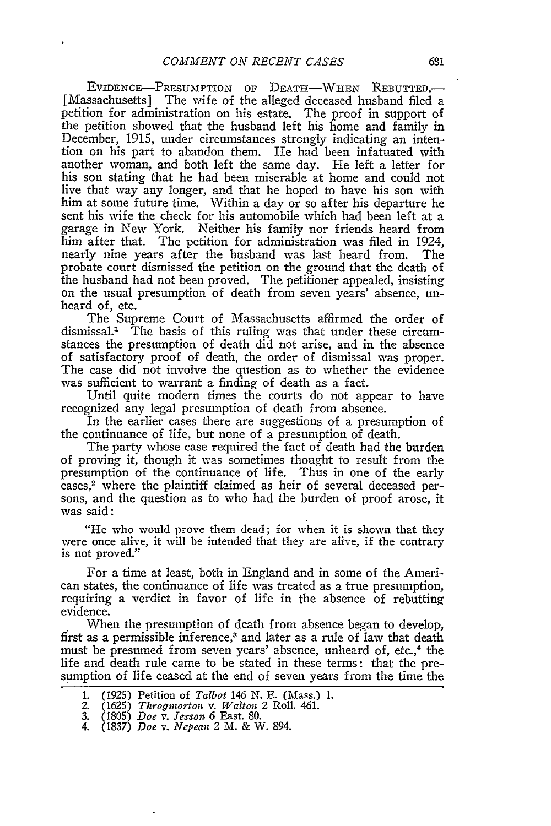**EVIDENCE-PRESUMPTION** OF **DEATH-WHEN** REBUTTED.- [Massachusetts] The wife of the alleged deceased husband filed a petition for administration on his estate. The proof in support of the petition showed that the husband left his home and family in December, 1915, under circumstances strongly indicating an intention on his part to abandon them. He had been infatuated with another woman, and both left the same day. He left a letter for his son stating that he had been miserable at home and could not live that way any longer, and that he hoped to have his son with him at some future time. Within a day or so after his departure he sent his wife the check for his automobile which had been left at a garage in New York. Neither his family nor friends heard from him after that. The petition for administration was filed in *1924,* nearly nine years after the husband was last heard from. The probate court dismissed the petition on the ground that the death of the husband had not been proved. The petitioner appealed, insisting on the usual presumption of death from seven years' absence, unheard of, etc.

The Supreme Court of Massachusetts affirmed the order of dismissal.' The basis of this ruling was that under these circumstances the presumption of death did not arise, and in the absence of satisfactory proof of death, the order of dismissal was proper. The case did not involve the question as to whether the evidence was sufficient to warrant a finding of death as a fact.

Until quite modern times the courts do not appear to have recognized any legal presumption of death from absence.

In the earlier cases there are suggestions of a presumption of the continuance of life, but none of a presumption of death.

The party whose case required the fact of death had the burden of proving it, though it was sometimes thought to result from the presumption of the continuance of life. Thus in one of the early cases,<sup>2</sup> where the plaintiff claimed as heir of several deceased persons, and the question as to who had the burden of proof arose, it was said:

"He who would prove them dead; for when it is shown that they were once alive, it will be intended that they are alive, if the contrary is not proved."

For a time at least, both in England and in some of the American states, the continuance of life was treated as a true presumption, requiring a verdict in favor of life in the absence of rebutting evidence.

When the presumption of death from absence began to develop, first as a permissible inference,<sup>3</sup> and later as a rule of law that death must be presumed from seven years' absence, unheard of, etc.,<sup>4</sup> the life and death rule came to be stated in these terms: that the presumption of life ceased at the end of seven years from the time the

<sup>1. (1925)</sup> Petition of *Talbot* 146 N. E. (Mass.) 1. 2. **(1625)** *Throgmorton v. Walton* 2 Roll. 461.

<sup>3.</sup> **(1805)** *Doe v. Jesson* 6 East. 80.

<sup>4.</sup> **(1837)** *Doe v. Nepean* 2 M. **&** W. 894.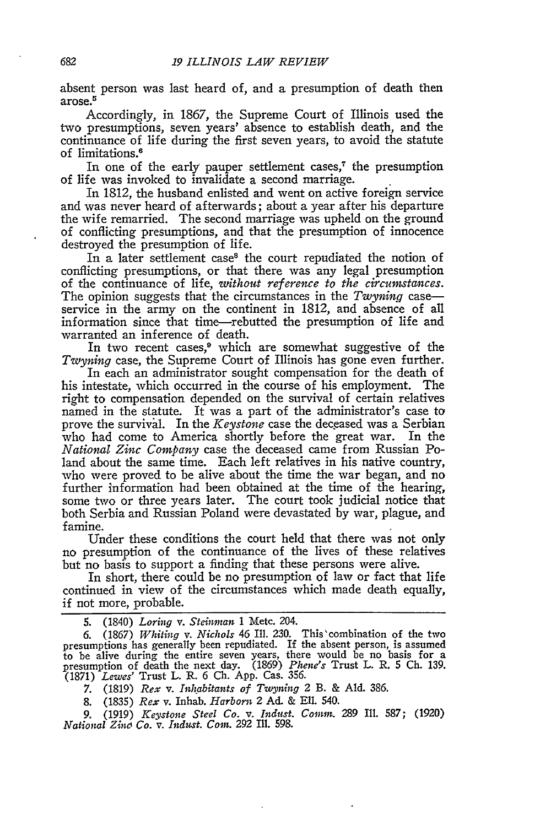absent person was last heard of, and a presumption of death then arose. **<sup>5</sup>**

Accordingly, in 1867, the Supreme Court of Illinois used the two presumptions, seven years' absence to establish death, and the continuance of life during the first seven years, to avoid the statute of limitations.<sup>6</sup>

In one of the early pauper settlement cases,<sup> $7$ </sup> the presumption of life was invoked to invalidate a second marriage.

In 1812, the husband enlisted and went on active foreign service and was never heard of afterwards; about a year after his departure the wife remarried. The second marriage was upheld on the ground of conflicting presumptions, and that the presumption of innocence destroyed the presumption of life.

In a later settlement case<sup>8</sup> the court repudiated the notion of conflicting presumptions, or that there was any legal presumption of the continuance of life, *without reference to the circumstances.* The opinion suggests that the circumstances in the *Twyning* case service in the army on the continent in 1812, and absence of all information since that time-rebutted the presumption of life and warranted an inference of death.

In two recent cases,<sup>9</sup> which are somewhat suggestive of the *Twyning* case, the Supreme Court of Illinois has gone even further.

In each an administrator sought compensation for the death of his intestate, which occurred in the course of his employment. The right to compensation depended on the survival of certain relatives named in the statute. It was a part of the administrator's case to prove the survival. In the *Keystone* case the deceased was a Serbian who had come to America shortly before the great war. In the *National Zinc Company* case the deceased came from Russian Poland about the same time. Each left relatives in his native country, who were proved to be alive about the time the war began, and no further information had been obtained at the time of the hearing, some two or three years later. The court took judicial notice that both Serbia and Russian Poland were devastated **by** war, plague, and famine.

Under these conditions the court held that there was not only no presumption of the continuance of the lives of these relatives but no basis to support a finding that these persons were alive.

In short, there could be no presumption of law or fact that life continued in view of the circumstances which made death equally, if not more, probable.

**5.** (1840) *Loring v. Steinman* 1 Metc. 204.

6. (1867) *Whiting v. Nichols* 46 Ill. 230. This'combination of the two presumptions has generally been repudiated. If the absent person, is assumed to be alive during the entire seven years, there would be no basis for a presumption of death the next day. (1869) *Phene's* Trust L. R. 5 **Ch.** 139. (1871) *Lewes'* Trust L. R. 6 **Ch.** App. Cas. 356.

7. (1819) *Rex v. Inhabitants of Twyning* 2 B. & **Ald.** 386.

8. (1835) *Rex* v. Inhab. *Harborn* 2 Ad. & Ell. 540.

9. (1919) *Keystone Steel Co. v. Ind.st. Comm.* 289 Ill. 587; (1920) *National Zinc Co. v. Indust. Coin.* 292 Ill. 598.